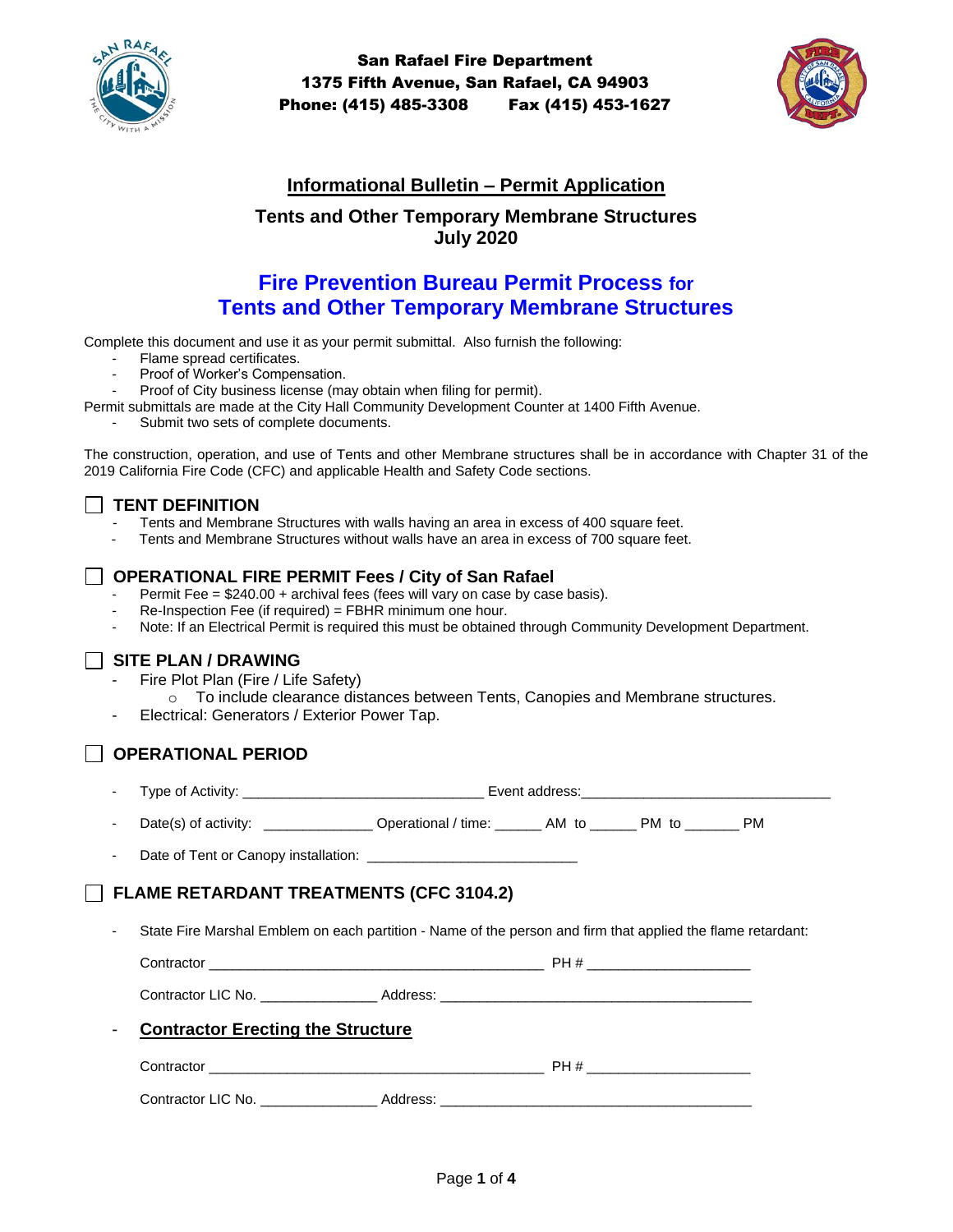

San Rafael Fire Department 1375 Fifth Avenue, San Rafael, CA 94903 Phone: (415) 485-3308 Fax (415) 453-1627



## **Informational Bulletin – Permit Application**

## **Tents and Other Temporary Membrane Structures July 2020**

# **Fire Prevention Bureau Permit Process for Tents and Other Temporary Membrane Structures**

Complete this document and use it as your permit submittal. Also furnish the following:

- Flame spread certificates.
- Proof of Worker's Compensation.
- Proof of City business license (may obtain when filing for permit).
- Permit submittals are made at the City Hall Community Development Counter at 1400 Fifth Avenue.
	- Submit two sets of complete documents.

The construction, operation, and use of Tents and other Membrane structures shall be in accordance with Chapter 31 of the 2019 California Fire Code (CFC) and applicable Health and Safety Code sections.

### **TENT DEFINITION**

- Tents and Membrane Structures with walls having an area in excess of 400 square feet.
- Tents and Membrane Structures without walls have an area in excess of 700 square feet.

### **OPERATIONAL FIRE PERMIT Fees / City of San Rafael**

- Permit Fee =  $$240.00 +$  archival fees (fees will vary on case by case basis).
- Re-Inspection Fee (if required) = FBHR minimum one hour.
- Note: If an Electrical Permit is required this must be obtained through Community Development Department.

### **SITE PLAN / DRAWING**

- Fire Plot Plan (Fire / Life Safety)
	- $\circ$  To include clearance distances between Tents, Canopies and Membrane structures.
- Electrical: Generators / Exterior Power Tap.

## **OPERATIONAL PERIOD**

Type of Activity: The state of the state of the state of the state of the state of the state of the state of the state of the state of the state of the state of the state of the state of the state of the state of the state

- Date(s) of activity: \_\_\_\_\_\_\_\_\_\_\_\_\_\_\_\_ Operational / time: \_\_\_\_\_\_\_ AM to \_\_\_\_\_\_ PM to \_\_\_\_\_\_ PM

- Date of Tent or Canopy installation: \_\_\_\_\_\_\_\_\_\_\_\_\_\_\_\_\_\_\_\_\_\_\_\_\_\_\_

## **FLAME RETARDANT TREATMENTS (CFC 3104.2)**

State Fire Marshal Emblem on each partition - Name of the person and firm that applied the flame retardant:

Contractor \_\_\_\_\_\_\_\_\_\_\_\_\_\_\_\_\_\_\_\_\_\_\_\_\_\_\_\_\_\_\_\_\_\_\_\_\_\_\_\_\_\_\_ PH # \_\_\_\_\_\_\_\_\_\_\_\_\_\_\_\_\_\_\_\_\_

Contractor LIC No. **Example 20 Address:**  $\blacksquare$ 

# **Contractor Erecting the Structure**

| ∵∩ntract∩r             | ∟ח |
|------------------------|----|
| Contractor '<br>LIC NO |    |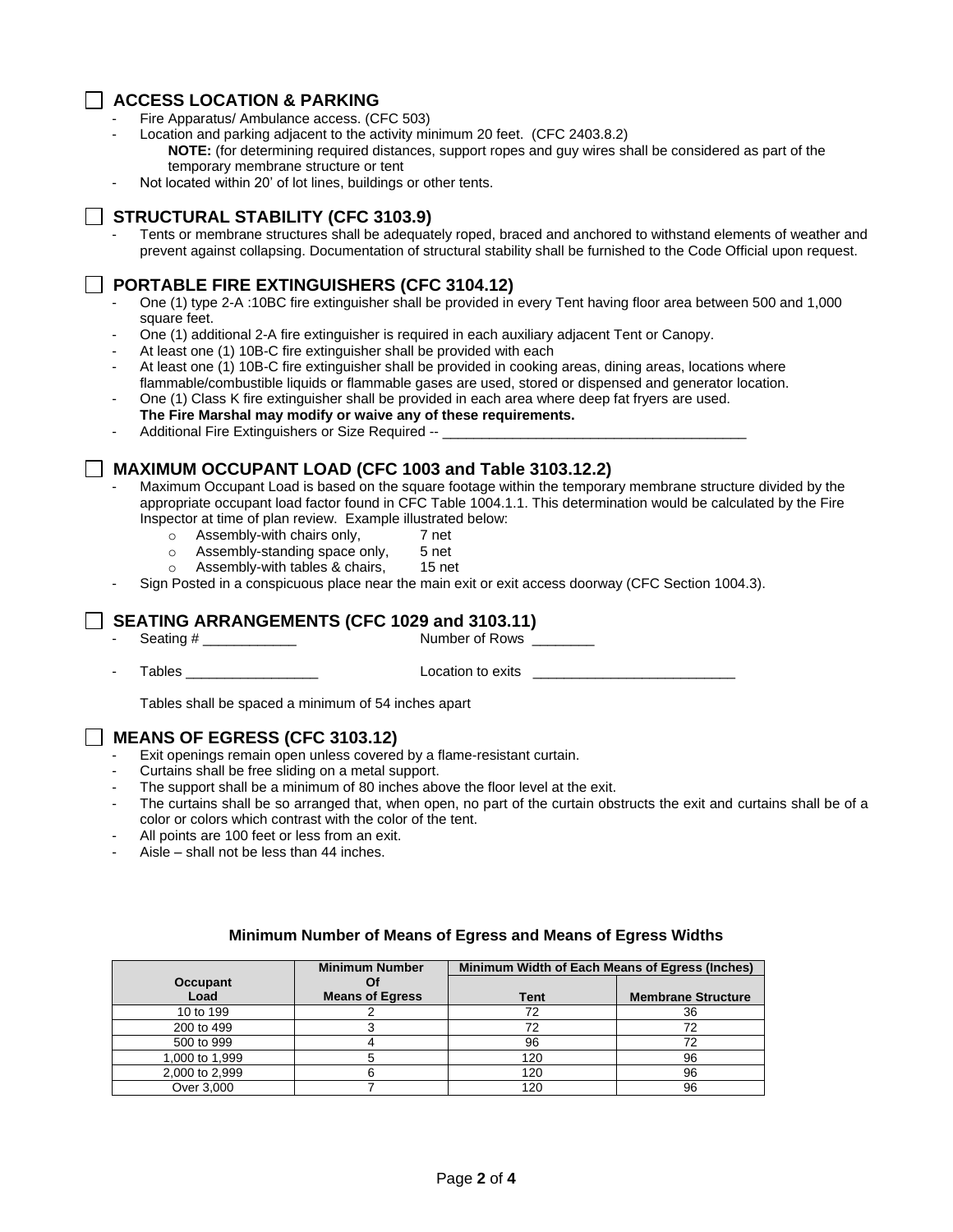### **ACCESS LOCATION & PARKING**

- Fire Apparatus/ Ambulance access. (CFC 503)
- Location and parking adjacent to the activity minimum 20 feet. (CFC 2403.8.2) **NOTE:** (for determining required distances, support ropes and guy wires shall be considered as part of the temporary membrane structure or tent
- Not located within 20' of lot lines, buildings or other tents.

### **STRUCTURAL STABILITY (CFC 3103.9)**

- Tents or membrane structures shall be adequately roped, braced and anchored to withstand elements of weather and prevent against collapsing. Documentation of structural stability shall be furnished to the Code Official upon request.

### **PORTABLE FIRE EXTINGUISHERS (CFC 3104.12)**

- One (1) type 2-A :10BC fire extinguisher shall be provided in every Tent having floor area between 500 and 1,000 square feet.
- One (1) additional 2-A fire extinguisher is required in each auxiliary adjacent Tent or Canopy.
- At least one (1) 10B-C fire extinguisher shall be provided with each
- At least one (1) 10B-C fire extinguisher shall be provided in cooking areas, dining areas, locations where flammable/combustible liquids or flammable gases are used, stored or dispensed and generator location.
- One (1) Class K fire extinguisher shall be provided in each area where deep fat fryers are used.
- **The Fire Marshal may modify or waive any of these requirements.**
- Additional Fire Extinguishers or Size Required --

### **MAXIMUM OCCUPANT LOAD (CFC 1003 and Table 3103.12.2)**

- Maximum Occupant Load is based on the square footage within the temporary membrane structure divided by the appropriate occupant load factor found in CFC Table 1004.1.1. This determination would be calculated by the Fire Inspector at time of plan review. Example illustrated below:
	- $\circ$  Assembly-with chairs only,  $\qquad \qquad$  7 net
	- o Assembly-standing space only, 5 net
	- o Assembly-with tables & chairs, 15 net
- Sign Posted in a conspicuous place near the main exit or exit access doorway (CFC Section 1004.3).

### **SEATING ARRANGEMENTS (CFC 1029 and 3103.11)**

- Seating # \_\_\_\_\_\_\_\_\_\_\_\_ Number of Rows \_\_\_\_\_\_\_\_

Tables **Tables Tables Tables Tables Tables Tables Tables Table Table Table Table Table Table Table Table Table Table Table Table Table Table Table Table Table Table Table**

Tables shall be spaced a minimum of 54 inches apart

### **MEANS OF EGRESS (CFC 3103.12)**

- Exit openings remain open unless covered by a flame-resistant curtain.
- Curtains shall be free sliding on a metal support.
- The support shall be a minimum of 80 inches above the floor level at the exit.
- The curtains shall be so arranged that, when open, no part of the curtain obstructs the exit and curtains shall be of a color or colors which contrast with the color of the tent.
- All points are 100 feet or less from an exit.
- $Aisle shall not be less than 44 inches.$

|                 | <b>Minimum Number</b>  | Minimum Width of Each Means of Egress (Inches) |                           |
|-----------------|------------------------|------------------------------------------------|---------------------------|
| <b>Occupant</b> |                        |                                                |                           |
| Load            | <b>Means of Egress</b> | Tent                                           | <b>Membrane Structure</b> |
| 10 to 199       |                        | 72                                             | 36                        |
| 200 to 499      |                        |                                                | 72                        |
| 500 to 999      |                        | 96                                             |                           |
| 1,000 to 1,999  |                        | 120                                            | 96                        |
| 2,000 to 2,999  |                        | 120                                            | 96                        |
| Over 3,000      |                        | 120                                            | 96                        |

#### **Minimum Number of Means of Egress and Means of Egress Widths**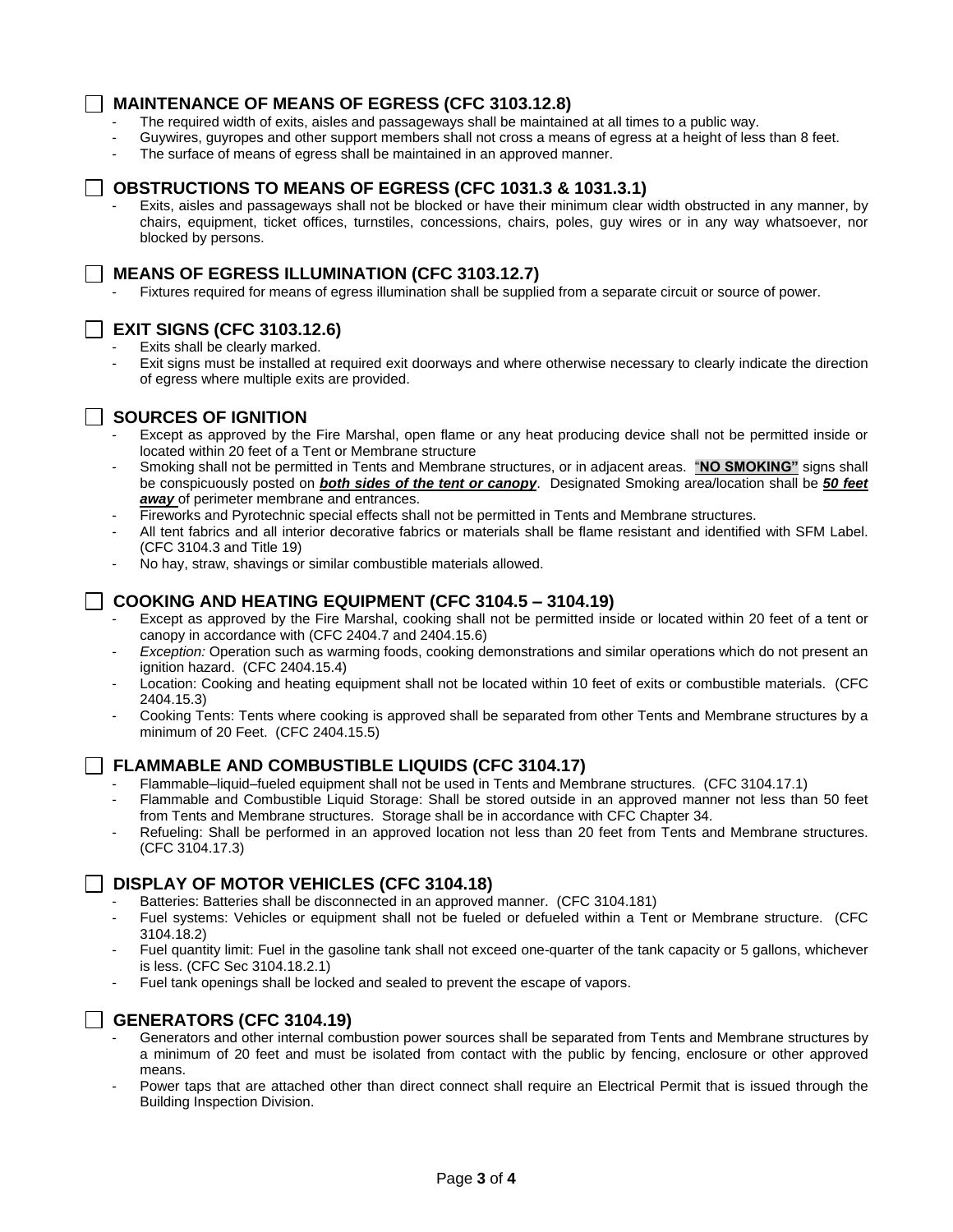### **MAINTENANCE OF MEANS OF EGRESS (CFC 3103.12.8)**

- The required width of exits, aisles and passageways shall be maintained at all times to a public way.
- Guywires, guyropes and other support members shall not cross a means of egress at a height of less than 8 feet.
- The surface of means of egress shall be maintained in an approved manner.

### **OBSTRUCTIONS TO MEANS OF EGRESS (CFC 1031.3 & 1031.3.1)**

Exits, aisles and passageways shall not be blocked or have their minimum clear width obstructed in any manner, by chairs, equipment, ticket offices, turnstiles, concessions, chairs, poles, guy wires or in any way whatsoever, nor blocked by persons.

### **MEANS OF EGRESS ILLUMINATION (CFC 3103.12.7)**

Fixtures required for means of egress illumination shall be supplied from a separate circuit or source of power.

### **EXIT SIGNS (CFC 3103.12.6)**

- Exits shall be clearly marked.
- Exit signs must be installed at required exit doorways and where otherwise necessary to clearly indicate the direction of egress where multiple exits are provided.

## **SOURCES OF IGNITION**

- Except as approved by the Fire Marshal, open flame or any heat producing device shall not be permitted inside or located within 20 feet of a Tent or Membrane structure
- Smoking shall not be permitted in Tents and Membrane structures, or in adjacent areas. "**NO SMOKING"** signs shall be conspicuously posted on *both sides of the tent or canopy*. Designated Smoking area/location shall be *50 feet away* of perimeter membrane and entrances.
- Fireworks and Pyrotechnic special effects shall not be permitted in Tents and Membrane structures.
- All tent fabrics and all interior decorative fabrics or materials shall be flame resistant and identified with SFM Label. (CFC 3104.3 and Title 19)
- No hay, straw, shavings or similar combustible materials allowed.

### **COOKING AND HEATING EQUIPMENT (CFC 3104.5 – 3104.19)**

- Except as approved by the Fire Marshal, cooking shall not be permitted inside or located within 20 feet of a tent or canopy in accordance with (CFC 2404.7 and 2404.15.6)
- Exception: Operation such as warming foods, cooking demonstrations and similar operations which do not present an ignition hazard. (CFC 2404.15.4)
- Location: Cooking and heating equipment shall not be located within 10 feet of exits or combustible materials. (CFC 2404.15.3)
- Cooking Tents: Tents where cooking is approved shall be separated from other Tents and Membrane structures by a minimum of 20 Feet. (CFC 2404.15.5)

### **FLAMMABLE AND COMBUSTIBLE LIQUIDS (CFC 3104.17)**

- Flammable–liquid–fueled equipment shall not be used in Tents and Membrane structures. (CFC 3104.17.1)
- Flammable and Combustible Liquid Storage: Shall be stored outside in an approved manner not less than 50 feet from Tents and Membrane structures. Storage shall be in accordance with CFC Chapter 34.
- Refueling: Shall be performed in an approved location not less than 20 feet from Tents and Membrane structures. (CFC 3104.17.3)

### **DISPLAY OF MOTOR VEHICLES (CFC 3104.18)**

- Batteries: Batteries shall be disconnected in an approved manner. (CFC 3104.181)
- Fuel systems: Vehicles or equipment shall not be fueled or defueled within a Tent or Membrane structure. (CFC 3104.18.2)
- Fuel quantity limit: Fuel in the gasoline tank shall not exceed one-quarter of the tank capacity or 5 gallons, whichever is less. (CFC Sec 3104.18.2.1)
- Fuel tank openings shall be locked and sealed to prevent the escape of vapors.

### **GENERATORS (CFC 3104.19)**

- Generators and other internal combustion power sources shall be separated from Tents and Membrane structures by a minimum of 20 feet and must be isolated from contact with the public by fencing, enclosure or other approved means.
- Power taps that are attached other than direct connect shall require an Electrical Permit that is issued through the Building Inspection Division.